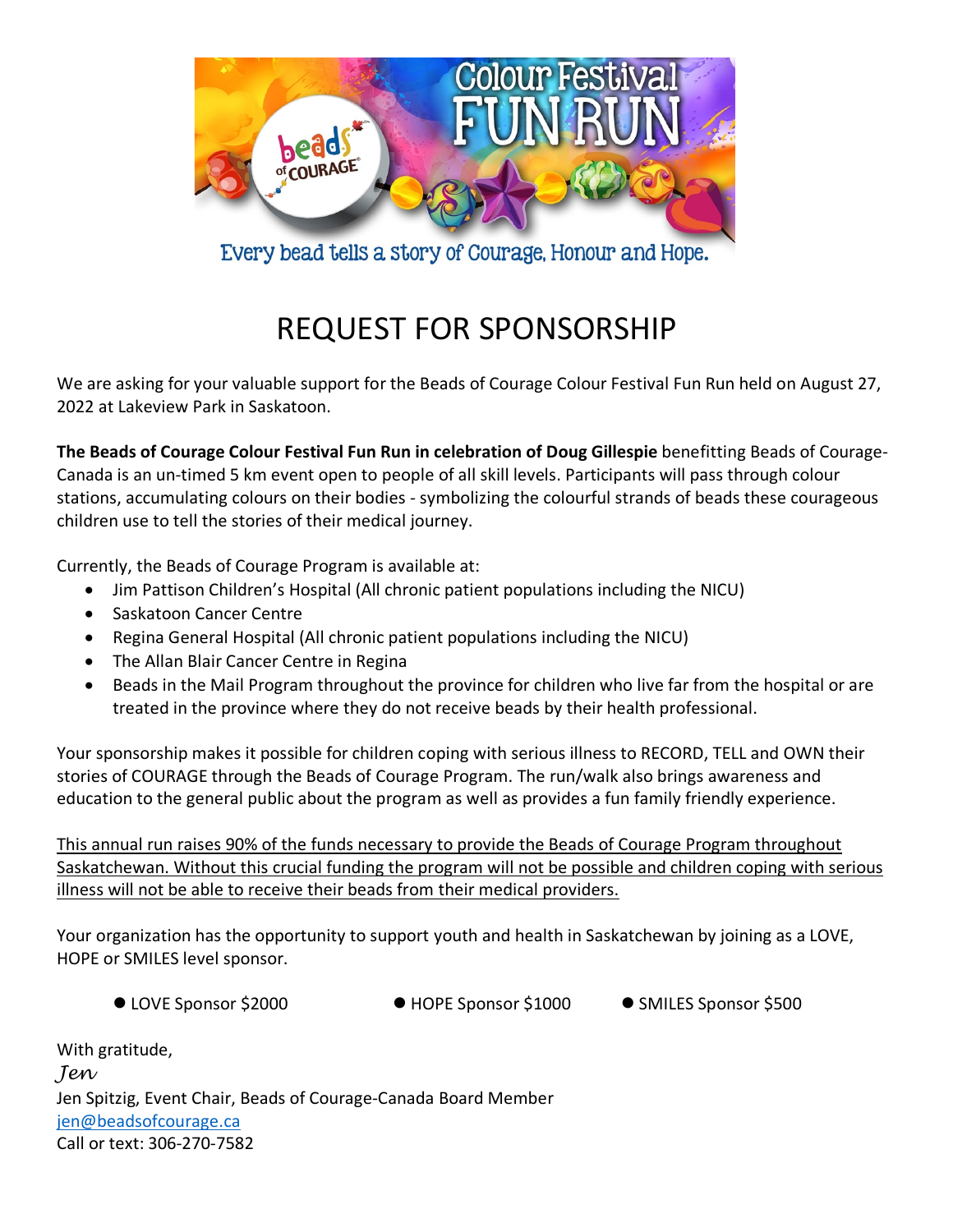

Every bead tells a story of Courage, Honour and Hope.

# REQUEST FOR SPONSORSHIP

We are asking for your valuable support for the Beads of Courage Colour Festival Fun Run held on August 27, 2022 at Lakeview Park in Saskatoon.

**The Beads of Courage Colour Festival Fun Run in celebration of Doug Gillespie** benefitting Beads of Courage-Canada is an un-timed 5 km event open to people of all skill levels. Participants will pass through colour stations, accumulating colours on their bodies - symbolizing the colourful strands of beads these courageous children use to tell the stories of their medical journey.

Currently, the Beads of Courage Program is available at:

- Jim Pattison Children's Hospital (All chronic patient populations including the NICU)
- Saskatoon Cancer Centre
- Regina General Hospital (All chronic patient populations including the NICU)
- The Allan Blair Cancer Centre in Regina
- Beads in the Mail Program throughout the province for children who live far from the hospital or are treated in the province where they do not receive beads by their health professional.

Your sponsorship makes it possible for children coping with serious illness to RECORD, TELL and OWN their stories of COURAGE through the Beads of Courage Program. The run/walk also brings awareness and education to the general public about the program as well as provides a fun family friendly experience.

This annual run raises 90% of the funds necessary to provide the Beads of Courage Program throughout Saskatchewan. Without this crucial funding the program will not be possible and children coping with serious illness will not be able to receive their beads from their medical providers.

Your organization has the opportunity to support youth and health in Saskatchewan by joining as a LOVE, HOPE or SMILES level sponsor.

- 
- LOVE Sponsor \$2000 HOPE Sponsor \$1000 SMILES Sponsor \$500
	-

| With gratitude,                                                |
|----------------------------------------------------------------|
| Jen                                                            |
| Jen Spitzig, Event Chair, Beads of Courage-Canada Board Member |
| jen@beadsofcourage.ca                                          |
| Call or text: 306-270-7582                                     |